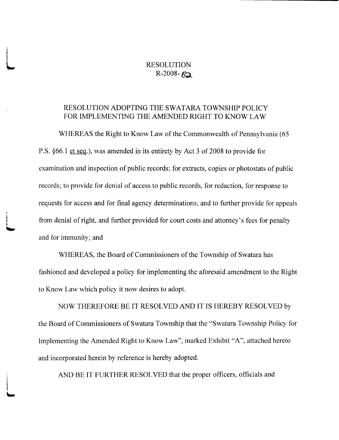## RESOLUTION  $R-2008 - B2$

## RESOLUTION ADOPTING THE SWATARA TOWNSHIP POLICY FOR IMPLEMENTING THE AMENDED RIGHT TO KNOW LAW

WHEREAS the Right to Know Law of the Commonwealth of Pennsylvania (65) P.S. §66.1 et seq.), was amended in its entirety by Act 3 of 2008 to provide for examination and inspection of public records; for extracts, copies or photostats of public records; to provide for denial of access to public records, for redaction, for response to requests for access and for final agency determinations; and to further provide for appeals from denial of right, and further provided for court costs and attorney's fees for penalty and for immunity; and

t

j

t

WHEREAS, the Board of Commissioners of the Township of Swatara has fashioned and developed <sup>a</sup> policy for implementing the aforesaid amendment to the Right to Know Law which policy it now desires to adopt.

NOW THEREFORE BE IT RESOLVED AND IT IS HEREBY RESOLVED by the Board of Commissioners of Swatara Township that the " Swatara Township Policy for Implementing the Amended Right to Know Law", marked Exhibit "A", attached hereto and incorporated herein by reference is hereby adopted.

AND BE IT FURTHER RESOLVED that the proper officers, officials and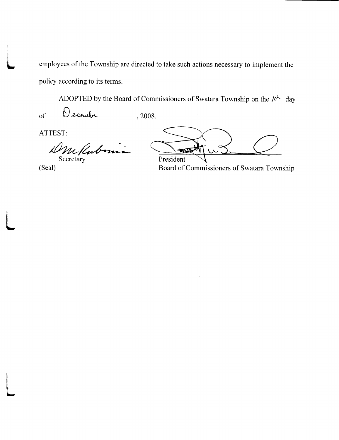employees of the Township are directed to take such actions necessary to implement the policy according to its terms.

ADOPTED by the Board of Commissioners of Swatara Township on the  $\sqrt{6}$  day

Decembe  $\sigma$  $, 2008.$ 

ATTEST:

m Rubini  $\mu$ Secretary

(Seal)

HATE President

Board of Commissioners of Swatara Township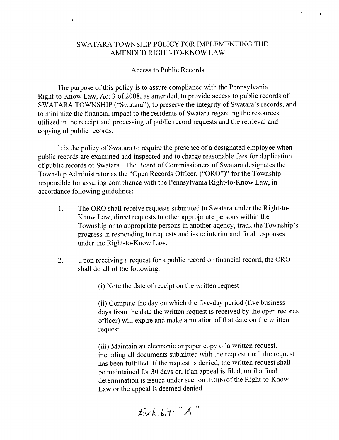## SWATARA TOWNSHIP POLICY FOR IMPLEMENTING THE AMENDED RIGHT-TO-KNOW LAW

## Access to Public Records

 $\mathcal{F}^{\mathcal{G}}_{\mathcal{G}}$  and  $\mathcal{G}^{\mathcal{G}}_{\mathcal{G}}$  and  $\mathcal{G}^{\mathcal{G}}_{\mathcal{G}}$ 

The purpose of this policy is to assure compliance with the Pennsylvania Right-to-Know Law, Act 3 of 2008, as amended, to provide access to public records of SWATARA TOWNSHIP ("Swatara"), to preserve the integrity of Swatara's records, and to minimize the financial impact to the residents of Swatara regarding the resources utilized in the receipt and processing of public record requests and the retrieval and copying of public records.

It is the policy of Swatara to require the presence of <sup>a</sup> designated employee when public records are examined and inspected and to charge reasonable fees for duplication of public records of Swatara. The Board of Commissioners of Swatara designates the Township Administrator as the "Open Records Officer, ("ORO")" for the Township responsible for assuring compliance with the Pennsylvania Right-to-Know Law, in accordance following guidelines:

- 1. The ORO shall receive requests submitted to Swatara under the Right-to-Know Law, direct requests to other appropriate persons within the Township or to appropriate persons in another agency, track the Township's progress in responding to requests and issue interim and final responses under the Right-to-Know Law.
- 2. Upon receiving <sup>a</sup> request for <sup>a</sup> public record or financial record, the ORO shall do all of the following:

(i) Note the date of receipt on the written request.

ii) Compute the day on which the five-day period (five business days from the date the written request is received by the open records officer) will expire and make a notation of that date on the written request.

iii) Maintain an electronic or paper copy of <sup>a</sup> written request, including all documents submitted with the request until the request has been fulfilled. If the request is denied, the written request shall be maintained for <sup>30</sup> days or, if an appeal is filed, until <sup>a</sup> final determination is issued under section IIOI(b) of the Right-to-Know Law or the appeal is deemed denied.

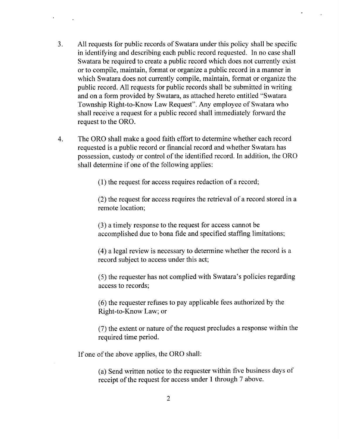- 3. All requests for public records of Swatara under this policy shall be specific in identifying and describing each public record requested. In no case shall Swatara be required to create <sup>a</sup> public record which does not currently exist or to compile, maintain, format or organize <sup>a</sup> public record in <sup>a</sup> manner in which Swatara does not currently compile, maintain, format or organize the public record. All requests for public records shall be submitted in writing and on <sup>a</sup> form provided by Swatara, as attached hereto entitled " Swatara Township Right-to-Know Law Request". Any employee of Swatara who shall receive a request for <sup>a</sup> public record shall immediately forward the request to the ORO.
- 4. The ORO shall make <sup>a</sup> good faith effort to determine whether each record requested is <sup>a</sup> public record or financial record and whether Swatara has possession, custody or control of the identified record. In addition, the ORO shall determine if one of the following applies:

1) the request for access requires redaction of <sup>a</sup> record;

2) the request for access requires the retrieval of <sup>a</sup> record stored in <sup>a</sup> remote location;

3) a timely response to the request for access cannot be accomplished due to bona fide and specified staffing limitations;

4) a legal review is necessary to determine whether the record is <sup>a</sup> record subject to access under this act;

5) the requester has not complied with Swatara' <sup>s</sup> policies regarding access to records;

6) the requester refuses to pay applicable fees authorized by the Right-to-Know Law; or

7) the extent or nature of the request precludes <sup>a</sup> response within the required time period.

If one of the above applies, the ORO shall:

a) Send written notice to the requester within five business days of receipt of the request for access under 1 through 7 above.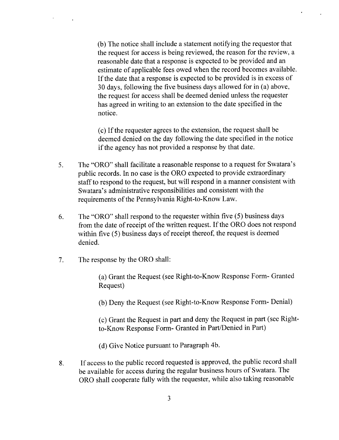b) The notice shall include <sup>a</sup> statement notifying the requestor that the request for access is being reviewed, the reason for the review, <sup>a</sup> reasonable date that a response is expected to be provided and an estimate of applicable fees owed when the record becomes available. If the date that a response is expected to be provided is in excess of <sup>30</sup> days, following the five business days allowed for in (a) above, the request for access shall be deemed denied unless the requester has agreed in writing to an extension to the date specified in the notice.

c) Ifthe requester agrees to the extension, the request shall be deemed denied on the day following the date specified in the notice if the agency has not provided a response by that date.

- 5. The "ORO" shall facilitate a reasonable response to a request for Swatara's public records. In no case is the ORO expected to provide extraordinary staff to respond to the request, but will respond in <sup>a</sup> manner consistent with Swatara's administrative responsibilities and consistent with the requirements of the Pennsylvania Right-to-Know Law.
- 6. The "ORO" shall respond to the requester within five (5) business days from the date of receipt of the written request. If the ORO does not respond within five  $(5)$  business days of receipt thereof, the request is deemed denied.
- 7. The response by the ORO shall:

a) Grant the Request ( see Right-to-Know Response Form- Granted Request)

b) Deny the Request ( see Right-to-Know Response Form- Denial)

c) Grant the Request in part and deny the Request in part ( see Rightto-Know Response Form- Granted in Part/Denied in Part)

d) Give Notice pursuant to Paragraph 4b.

8. If access to the public record requested is approved, the public record shall be available for access during the regular business hours of Swatara. The ORO shall cooperate fully with the requester, while also taking reasonable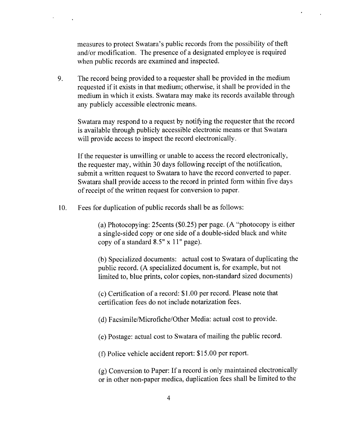measures to protect Swatara's public records from the possibility of theft and/or modification. The presence of a designated employee is required when public records are examined and inspected.

9. The record being provided to <sup>a</sup> requester shall be provided in the medium requested if it exists in that medium; otherwise, it shall be provided in the medium in which it exists. Swatara may make its records available through any publicly accessible electronic means.

Swatara may respond to a request by notifying the requester that the record is available through publicly accessible electronic means or that Swatara will provide access to inspect the record electronically.

If the requester is unwilling or unable to access the record electronically, the requester may, within 30 days following receipt of the notification, submit <sup>a</sup> written request to Swatara to have the record converted to paper. Swatara shall provide access to the record in printed form within five days ofreceipt of the written request for conversion to paper.

10. Fees for duplication of public records shall be as follows:

(a) Photocopying: 25 cents  $(\$0.25)$  per page. (A "photocopy is either <sup>a</sup> single- sided copy or one side of <sup>a</sup> double- sided black and white copy of a standard  $8.5" \times 11"$  page).

b) Specialized documents: actual cost to Swatara of duplicating the public record. (A specialized document is, for example, but not limited to, blue prints, color copies, non-standard sized documents)

c) Certification of <sup>a</sup> record: \$ 1. <sup>00</sup> per record. Please note that certification fees do not include notarization fees.

d) Facsimile/Microfiche/ Other Media: actual cost to provide.

e) Postage: actual cost to Swatara of mailing the public record.

f) Police vehicle accident report: \$ 15. <sup>00</sup> per report.

g) Conversion to Paper: If <sup>a</sup> record is only maintained electronically or in other non-paper medica, duplication fees shall be limited to the